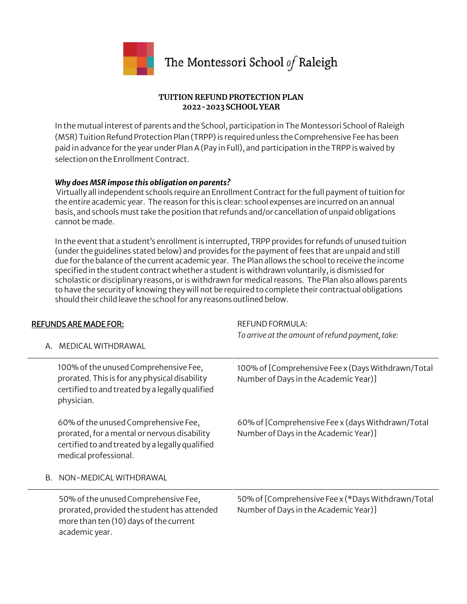

# The Montessori School of Raleigh

### **TUITION REFUND PROTECTION PLAN 2022-2023 SCHOOL YEAR**

In the mutual interest of parents and the School, participation in The Montessori School of Raleigh (MSR) Tuition Refund Protection Plan (TRPP) is required unless the Comprehensive Fee has been paid in advance for the year under Plan A (Pay in Full), and participation in the TRPP is waived by selection on the Enrollment Contract.

### *Why does MSR impose this obligation on parents?*

Virtually all independent schools require an Enrollment Contract for the full payment of tuition for the entire academic year. The reason for this is clear: school expenses are incurred on an annual basis, and schools must take the position that refunds and/or cancellation of unpaid obligations cannot be made.

In the event that a student's enrollment is interrupted, TRPP provides for refunds of unused tuition (under the guidelines stated below) and provides for the payment of fees that are unpaid and still due for the balance of the current academic year. The Plan allows the school to receive the income specified in the student contract whether a student is withdrawn voluntarily, is dismissed for scholastic or disciplinary reasons, or is withdrawn for medical reasons. The Plan also allows parents to have the security of knowing they will not be required to complete their contractual obligations should their child leave the school for any reasons outlined below.

|--|

REFUND FORMULA: *To arrive at the amount of refund payment, take:*

| Α. | MEDICAL WITHDRAWAL                                                                                                                                               |                                                                                             |
|----|------------------------------------------------------------------------------------------------------------------------------------------------------------------|---------------------------------------------------------------------------------------------|
|    | 100% of the unused Comprehensive Fee,<br>prorated. This is for any physical disability<br>certified to and treated by a legally qualified<br>physician.          | 100% of [Comprehensive Fee x (Days Withdrawn/Total<br>Number of Days in the Academic Year)] |
|    | 60% of the unused Comprehensive Fee,<br>prorated, for a mental or nervous disability<br>certified to and treated by a legally qualified<br>medical professional. | 60% of [Comprehensive Fee x (days Withdrawn/Total<br>Number of Days in the Academic Year)]  |
| В. | NON-MEDICAL WITHDRAWAL                                                                                                                                           |                                                                                             |
|    | 50% of the unused Comprehensive Fee,<br>prorated, provided the student has attended<br>more than ten (10) days of the current<br>academic year.                  | 50% of [Comprehensive Fee x (*Days Withdrawn/Total<br>Number of Days in the Academic Year)] |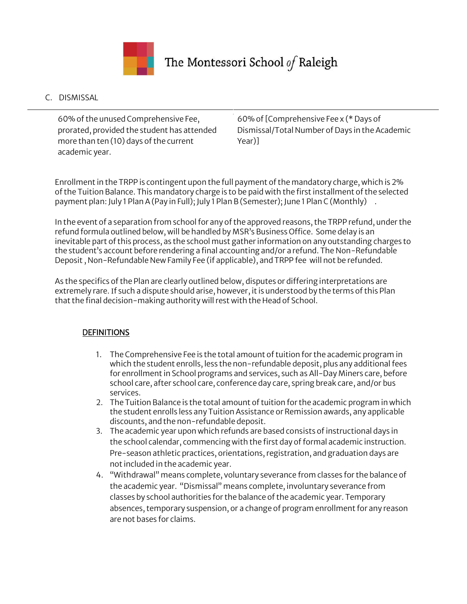

# The Montessori School of Raleigh

## C. DISMISSAL

60% of the unused Comprehensive Fee, prorated, provided the student has attended more than ten (10) days of the current academic year.

60% of [Comprehensive Fee x (\* Days of Dismissal/Total Number of Days in the Academic Year)]

Enrollment in the TRPP is contingent upon the full payment of the mandatory charge, which is 2% of the Tuition Balance. This mandatory charge is to be paid with the first installment of the selected payment plan: July 1 Plan A (Pay in Full); July 1 Plan B (Semester); June 1 Plan C (Monthly) .

In the event of a separation from school for any of the approved reasons, the TRPP refund, under the refund formula outlined below, will be handled by MSR's Business Office. Some delay is an inevitable part of this process, as the school must gather information on any outstanding charges to the student's account before rendering a final accounting and/or a refund. The Non-Refundable Deposit , Non-Refundable New Family Fee (if applicable), and TRPP fee will not be refunded.

As the specifics of the Plan are clearly outlined below, disputes or differing interpretations are extremely rare. If such a dispute should arise, however, it is understood by the terms of this Plan that the final decision-making authority will rest with the Head of School.

## **DEFINITIONS**

- 1. The Comprehensive Fee is the total amount of tuition for the academic program in which the student enrolls, less the non-refundable deposit, plus any additional fees for enrollment in School programs and services, such as All-Day Miners care, before school care, after school care, conference day care, spring break care, and/or bus services.
- 2. The Tuition Balance is the total amount of tuition for the academic program in which the student enrolls less any Tuition Assistance or Remission awards, any applicable discounts, and the non-refundable deposit.
- 3. The academic year upon which refunds are based consists of instructional days in the school calendar, commencing with the first day of formal academic instruction. Pre-season athletic practices, orientations, registration, and graduation days are not included in the academic year.
- 4. "Withdrawal" means complete, voluntary severance from classes for the balance of the academic year. "Dismissal" means complete, involuntary severance from classes by school authorities for the balance of the academic year. Temporary absences, temporary suspension, or a change of program enrollment for any reason are not bases for claims.